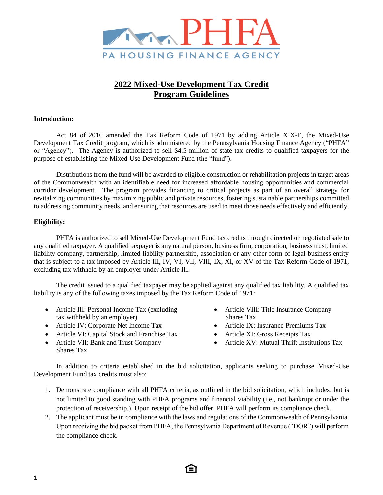

# **2022 Mixed-Use Development Tax Credit Program Guidelines**

### **Introduction:**

Act 84 of 2016 amended the Tax Reform Code of 1971 by adding Article XIX-E, the Mixed-Use Development Tax Credit program, which is administered by the Pennsylvania Housing Finance Agency ("PHFA" or "Agency"). The Agency is authorized to sell \$4.5 million of state tax credits to qualified taxpayers for the purpose of establishing the Mixed-Use Development Fund (the "fund").

Distributions from the fund will be awarded to eligible construction or rehabilitation projects in target areas of the Commonwealth with an identifiable need for increased affordable housing opportunities and commercial corridor development. The program provides financing to critical projects as part of an overall strategy for revitalizing communities by maximizing public and private resources, fostering sustainable partnerships committed to addressing community needs, and ensuring that resources are used to meet those needs effectively and efficiently.

### **Eligibility:**

PHFA is authorized to sell Mixed-Use Development Fund tax credits through directed or negotiated sale to any qualified taxpayer. A qualified taxpayer is any natural person, business firm, corporation, business trust, limited liability company, partnership, limited liability partnership, association or any other form of legal business entity that is subject to a tax imposed by Article III, IV, VI, VII, VIII, IX, XI, or XV of the Tax Reform Code of 1971, excluding tax withheld by an employer under Article III.

The credit issued to a qualified taxpayer may be applied against any qualified tax liability. A qualified tax liability is any of the following taxes imposed by the Tax Reform Code of 1971:

- Article III: Personal Income Tax (excluding tax withheld by an employer)
- Article IV: Corporate Net Income Tax
- Article VI: Capital Stock and Franchise Tax
- Article VII: Bank and Trust Company Shares Tax
- Article VIII: Title Insurance Company Shares Tax
- Article IX: Insurance Premiums Tax
- Article XI: Gross Receipts Tax
- Article XV: Mutual Thrift Institutions Tax

In addition to criteria established in the bid solicitation, applicants seeking to purchase Mixed-Use Development Fund tax credits must also:

- 1. Demonstrate compliance with all PHFA criteria, as outlined in the bid solicitation, which includes, but is not limited to good standing with PHFA programs and financial viability (i.e., not bankrupt or under the protection of receivership.) Upon receipt of the bid offer, PHFA will perform its compliance check.
- 2. The applicant must be in compliance with the laws and regulations of the Commonwealth of Pennsylvania. Upon receiving the bid packet from PHFA, the Pennsylvania Department of Revenue ("DOR") will perform the compliance check.

EΙ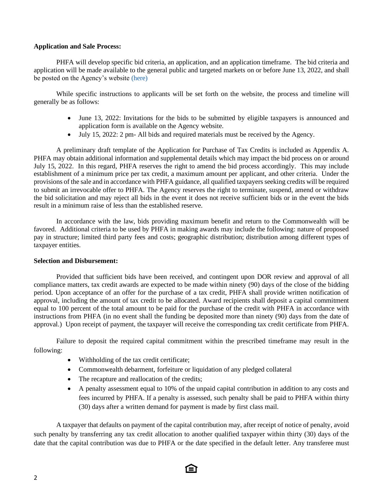#### **Application and Sale Process:**

PHFA will develop specific bid criteria, an application, and an application timeframe. The bid criteria and application will be made available to the general public and targeted markets on or before June 13, 2022, and shall be posted on the Agency's website [\(here\)](https://www.phfa.org/mhp/developers/loans.aspx)

While specific instructions to applicants will be set forth on the website, the process and timeline will generally be as follows:

- June 13, 2022: Invitations for the bids to be submitted by eligible taxpayers is announced and application form is available on the Agency website.
- July 15, 2022: 2 pm- All bids and required materials must be received by the Agency.

A preliminary draft template of the Application for Purchase of Tax Credits is included as Appendix A. PHFA may obtain additional information and supplemental details which may impact the bid process on or around July 15, 2022. In this regard, PHFA reserves the right to amend the bid process accordingly. This may include establishment of a minimum price per tax credit, a maximum amount per applicant, and other criteria. Under the provisions of the sale and in accordance with PHFA guidance, all qualified taxpayers seeking credits will be required to submit an irrevocable offer to PHFA. The Agency reserves the right to terminate, suspend, amend or withdraw the bid solicitation and may reject all bids in the event it does not receive sufficient bids or in the event the bids result in a minimum raise of less than the established reserve.

In accordance with the law, bids providing maximum benefit and return to the Commonwealth will be favored. Additional criteria to be used by PHFA in making awards may include the following: nature of proposed pay in structure; limited third party fees and costs; geographic distribution; distribution among different types of taxpayer entities.

#### **Selection and Disbursement:**

Provided that sufficient bids have been received, and contingent upon DOR review and approval of all compliance matters, tax credit awards are expected to be made within ninety (90) days of the close of the bidding period. Upon acceptance of an offer for the purchase of a tax credit, PHFA shall provide written notification of approval, including the amount of tax credit to be allocated. Award recipients shall deposit a capital commitment equal to 100 percent of the total amount to be paid for the purchase of the credit with PHFA in accordance with instructions from PHFA (in no event shall the funding be deposited more than ninety (90) days from the date of approval.) Upon receipt of payment, the taxpayer will receive the corresponding tax credit certificate from PHFA.

Failure to deposit the required capital commitment within the prescribed timeframe may result in the following:

- Withholding of the tax credit certificate;
- Commonwealth debarment, forfeiture or liquidation of any pledged collateral
- The recapture and reallocation of the credits;
- A penalty assessment equal to 10% of the unpaid capital contribution in addition to any costs and fees incurred by PHFA. If a penalty is assessed, such penalty shall be paid to PHFA within thirty (30) days after a written demand for payment is made by first class mail.

A taxpayer that defaults on payment of the capital contribution may, after receipt of notice of penalty, avoid such penalty by transferring any tax credit allocation to another qualified taxpayer within thirty (30) days of the date that the capital contribution was due to PHFA or the date specified in the default letter. Any transferee must

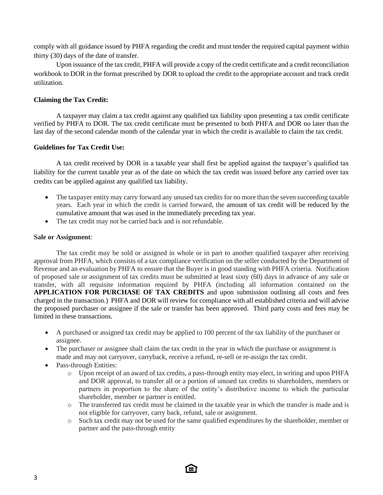comply with all guidance issued by PHFA regarding the credit and must tender the required capital payment within thirty (30) days of the date of transfer.

Upon issuance of the tax credit, PHFA will provide a copy of the credit certificate and a credit reconciliation workbook to DOR in the format prescribed by DOR to upload the credit to the appropriate account and track credit utilization.

### **Claiming the Tax Credit:**

A taxpayer may claim a tax credit against any qualified tax liability upon presenting a tax credit certificate verified by PHFA to DOR. The tax credit certificate must be presented to both PHFA and DOR no later than the last day of the second calendar month of the calendar year in which the credit is available to claim the tax credit.

#### **Guidelines for Tax Credit Use:**

A tax credit received by DOR in a taxable year shall first be applied against the taxpayer's qualified tax liability for the current taxable year as of the date on which the tax credit was issued before any carried over tax credits can be applied against any qualified tax liability.

- The taxpayer entity may carry forward any unused tax credits for no more than the seven succeeding taxable years. Each year in which the credit is carried forward, the amount of tax credit will be reduced by the cumulative amount that was used in the immediately preceding tax year.
- The tax credit may not be carried back and is not refundable.

#### **Sale or Assignment**:

The tax credit may be sold or assigned in whole or in part to another qualified taxpayer after receiving approval from PHFA, which consists of a tax compliance verification on the seller conducted by the Department of Revenue and an evaluation by PHFA to ensure that the Buyer is in good standing with PHFA criteria. Notification of proposed sale or assignment of tax credits must be submitted at least sixty (60) days in advance of any sale or transfer, with all requisite information required by PHFA (including all information contained on the **APPLICATION FOR PURCHASE OF TAX CREDITS** and upon submission outlining all costs and fees charged in the transaction.) PHFA and DOR will review for compliance with all established criteria and will advise the proposed purchaser or assignee if the sale or transfer has been approved. Third party costs and fees may be limited in these transactions.

- A purchased or assigned tax credit may be applied to 100 percent of the tax liability of the purchaser or assignee.
- The purchaser or assignee shall claim the tax credit in the year in which the purchase or assignment is made and may not carryover, carryback, receive a refund, re-sell or re-assign the tax credit.
- Pass-through Entities:
	- o Upon receipt of an award of tax credits, a pass-through entity may elect, in writing and upon PHFA and DOR approval, to transfer all or a portion of unused tax credits to shareholders, members or partners in proportion to the share of the entity's distributive income to which the particular shareholder, member or partner is entitled.
	- o The transferred tax credit must be claimed in the taxable year in which the transfer is made and is not eligible for carryover, carry back, refund, sale or assignment.
	- o Such tax credit may not be used for the same qualified expenditures by the shareholder, member or partner and the pass-through entity

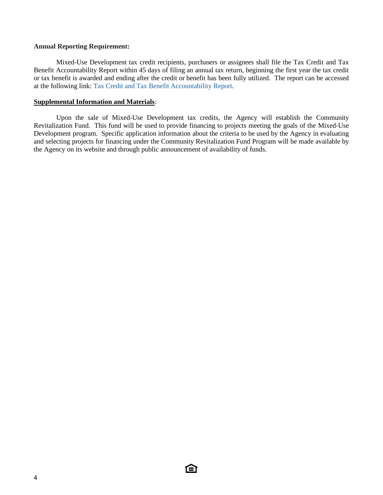#### **Annual Reporting Requirement:**

Mixed-Use Development tax credit recipients, purchasers or assignees shall file the Tax Credit and Tax Benefit Accountability Report within 45 days of filing an annual tax return, beginning the first year the tax credit or tax benefit is awarded and ending after the credit or benefit has been fully utilized. The report can be accessed at the following link: [Tax Credit and Tax Benefit Accountability Report.](https://www.revenue.pa.gov/IncentivesCreditsPrograms/CreditAccountability/Pages/default.aspx)

#### **Supplemental Information and Materials**:

Upon the sale of Mixed-Use Development tax credits, the Agency will establish the Community Revitalization Fund. This fund will be used to provide financing to projects meeting the goals of the Mixed-Use Development program. Specific application information about the criteria to be used by the Agency in evaluating and selecting projects for financing under the Community Revitalization Fund Program will be made available by the Agency on its website and through public announcement of availability of funds.

臼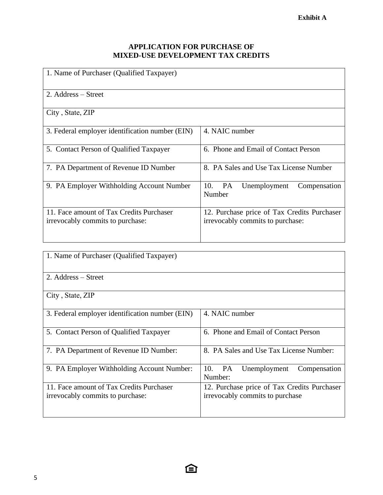# **APPLICATION FOR PURCHASE OF MIXED-USE DEVELOPMENT TAX CREDITS**

| 1. Name of Purchaser (Qualified Taxpayer)                                    |                                                                                 |  |  |
|------------------------------------------------------------------------------|---------------------------------------------------------------------------------|--|--|
| 2. Address – Street                                                          |                                                                                 |  |  |
| City, State, ZIP                                                             |                                                                                 |  |  |
| 3. Federal employer identification number (EIN)                              | 4. NAIC number                                                                  |  |  |
| 5. Contact Person of Qualified Taxpayer                                      | 6. Phone and Email of Contact Person                                            |  |  |
| 7. PA Department of Revenue ID Number                                        | 8. PA Sales and Use Tax License Number                                          |  |  |
| 9. PA Employer Withholding Account Number                                    | PA<br>10.<br>Unemployment<br>Compensation<br>Number                             |  |  |
| 11. Face amount of Tax Credits Purchaser<br>irrevocably commits to purchase: | 12. Purchase price of Tax Credits Purchaser<br>irrevocably commits to purchase: |  |  |

| 1. Name of Purchaser (Qualified Taxpayer)                                    |                                                                                |  |  |
|------------------------------------------------------------------------------|--------------------------------------------------------------------------------|--|--|
| 2. Address – Street                                                          |                                                                                |  |  |
| City, State, ZIP                                                             |                                                                                |  |  |
| 3. Federal employer identification number (EIN)                              | 4. NAIC number                                                                 |  |  |
| 5. Contact Person of Qualified Taxpayer                                      | 6. Phone and Email of Contact Person                                           |  |  |
| 7. PA Department of Revenue ID Number:                                       | 8. PA Sales and Use Tax License Number:                                        |  |  |
| 9. PA Employer Withholding Account Number:                                   | PA<br>10.<br>Unemployment<br>Compensation<br>Number:                           |  |  |
| 11. Face amount of Tax Credits Purchaser<br>irrevocably commits to purchase: | 12. Purchase price of Tax Credits Purchaser<br>irrevocably commits to purchase |  |  |

臼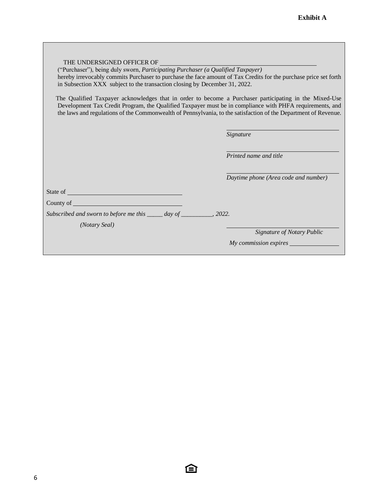| THE UNDERSIGNED OFFICER OF<br>("Purchaser"), being duly sworn, Participating Purchaser (a Qualified Taxpayer)<br>hereby irrevocably commits Purchaser to purchase the face amount of Tax Credits for the purchase price set forth<br>in Subsection XXX subject to the transaction closing by December 31, 2022.<br>The Qualified Taxpayer acknowledges that in order to become a Purchaser participating in the Mixed-Use<br>Development Tax Credit Program, the Qualified Taxpayer must be in compliance with PHFA requirements, and<br>the laws and regulations of the Commonwealth of Pennsylvania, to the satisfaction of the Department of Revenue. |                                      |
|----------------------------------------------------------------------------------------------------------------------------------------------------------------------------------------------------------------------------------------------------------------------------------------------------------------------------------------------------------------------------------------------------------------------------------------------------------------------------------------------------------------------------------------------------------------------------------------------------------------------------------------------------------|--------------------------------------|
|                                                                                                                                                                                                                                                                                                                                                                                                                                                                                                                                                                                                                                                          | Signature                            |
|                                                                                                                                                                                                                                                                                                                                                                                                                                                                                                                                                                                                                                                          | Printed name and title               |
|                                                                                                                                                                                                                                                                                                                                                                                                                                                                                                                                                                                                                                                          | Daytime phone (Area code and number) |
|                                                                                                                                                                                                                                                                                                                                                                                                                                                                                                                                                                                                                                                          |                                      |
| County of League and County of League and County of League and County of League and County of League and County of League and County of League and County of League and County of League and County of League and County of Le                                                                                                                                                                                                                                                                                                                                                                                                                           |                                      |
| Subscribed and sworn to before me this _____ day of _________, 2022.                                                                                                                                                                                                                                                                                                                                                                                                                                                                                                                                                                                     |                                      |
| (Notary Seal)                                                                                                                                                                                                                                                                                                                                                                                                                                                                                                                                                                                                                                            |                                      |
|                                                                                                                                                                                                                                                                                                                                                                                                                                                                                                                                                                                                                                                          | Signature of Notary Public           |
|                                                                                                                                                                                                                                                                                                                                                                                                                                                                                                                                                                                                                                                          | My commission expires                |

臼